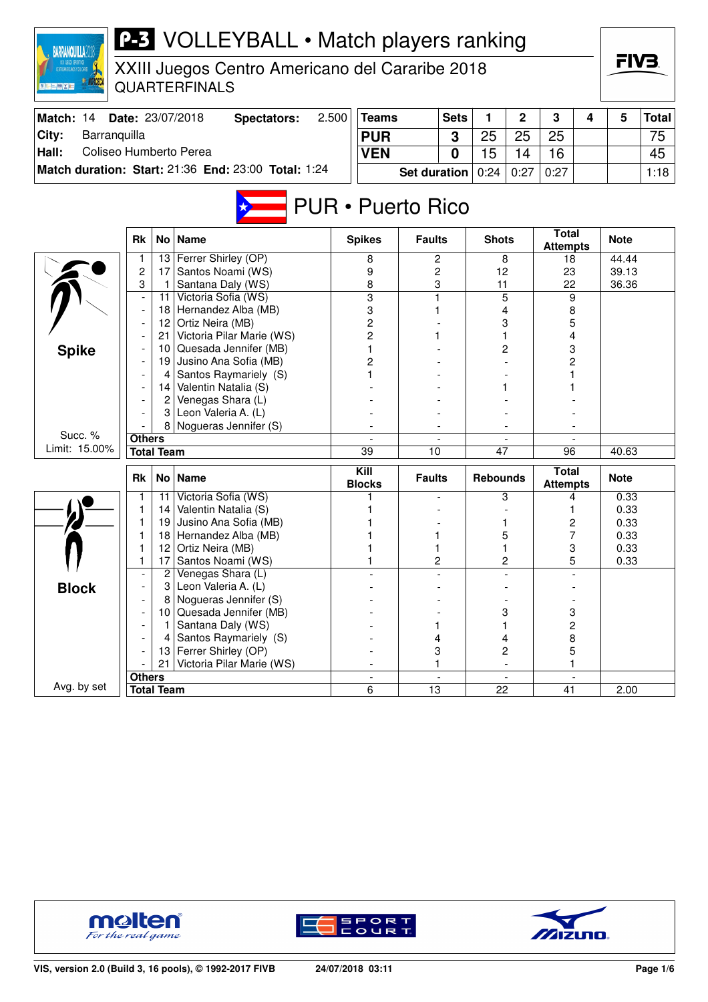| <b>BARRANQUILLA2018</b>         |                          |                   | <b>P-3</b> VOLLEYBALL • Match players ranking                           |       |                          |                     |             |                 |                |                                 |   | FIV3.          |              |
|---------------------------------|--------------------------|-------------------|-------------------------------------------------------------------------|-------|--------------------------|---------------------|-------------|-----------------|----------------|---------------------------------|---|----------------|--------------|
|                                 |                          |                   | XXIII Juegos Centro Americano del Cararibe 2018<br><b>QUARTERFINALS</b> |       |                          |                     |             |                 |                |                                 |   |                |              |
| Match: 14                       |                          |                   | Date: 23/07/2018<br><b>Spectators:</b>                                  | 2.500 | <b>Teams</b>             |                     | <b>Sets</b> | 1               | $\overline{2}$ | 3                               | 4 | 5              | <b>Total</b> |
| City:<br>Barranquilla           |                          |                   |                                                                         |       | <b>PUR</b>               |                     | 3           | 25              | 25             | 25                              |   |                | 75           |
| Hall:<br>Coliseo Humberto Perea |                          |                   |                                                                         |       | <b>VEN</b>               |                     | 0           | 15              | 14             | 16                              |   |                | 45           |
|                                 |                          |                   | Match duration: Start: 21:36 End: 23:00 Total: 1:24                     |       |                          | <b>Set duration</b> |             | 0:24            | 0:27           | 0:27                            |   |                | 1:18         |
|                                 |                          |                   |                                                                         |       |                          |                     |             |                 |                |                                 |   |                |              |
|                                 |                          |                   |                                                                         |       | <b>PUR • Puerto Rico</b> |                     |             |                 |                |                                 |   |                |              |
|                                 | <b>Rk</b>                | No <sub>1</sub>   | <b>Name</b>                                                             |       | <b>Spikes</b>            | <b>Faults</b>       |             | <b>Shots</b>    |                | <b>Total</b><br><b>Attempts</b> |   | <b>Note</b>    |              |
|                                 | 1                        | 13                | Ferrer Shirley (OP)                                                     |       | 8                        | 2                   |             |                 | 8              | 18                              |   | 44.44          |              |
|                                 | $\overline{c}$<br>3      | 17<br>-1          | Santos Noami (WS)<br>Santana Daly (WS)                                  |       | 9                        | 2<br>3              |             | 12<br>11        |                | 23<br>22                        |   | 39.13<br>36.36 |              |
|                                 | $\overline{\phantom{a}}$ | 11                | Victoria Sofia (WS)                                                     |       | 8<br>$\overline{3}$      | 1                   |             |                 | 5              | 9                               |   |                |              |
|                                 |                          | 18                | Hernandez Alba (MB)                                                     |       | 3                        | 1                   |             |                 | 4              | 8                               |   |                |              |
|                                 |                          |                   | 12 Ortiz Neira (MB)                                                     |       | 2                        |                     |             |                 | 3              | 5                               |   |                |              |
|                                 |                          | 21                | Victoria Pilar Marie (WS)                                               |       | 2                        | 1                   |             |                 |                | 4                               |   |                |              |
| <b>Spike</b>                    |                          | 10                | Quesada Jennifer (MB)                                                   |       | 1                        |                     |             |                 | 2              | 3                               |   |                |              |
|                                 |                          | 19                | Jusino Ana Sofia (MB)                                                   |       | 2                        |                     |             |                 |                | 2                               |   |                |              |
|                                 |                          | 4                 | Santos Raymariely (S)                                                   |       |                          |                     |             |                 |                |                                 |   |                |              |
|                                 |                          |                   | 14 Valentin Natalia (S)<br>Venegas Shara (L)                            |       |                          |                     |             |                 |                |                                 |   |                |              |
|                                 |                          | 2<br>3            | Leon Valeria A. (L)                                                     |       |                          |                     |             |                 |                |                                 |   |                |              |
|                                 |                          | 8                 | Nogueras Jennifer (S)                                                   |       |                          |                     |             |                 |                |                                 |   |                |              |
| Succ. %                         | <b>Others</b>            |                   |                                                                         |       |                          |                     |             |                 |                |                                 |   |                |              |
| Limit: 15.00%                   |                          | <b>Total Team</b> |                                                                         |       | $\overline{39}$          | 10                  |             | 47              |                | 96                              |   | 40.63          |              |
|                                 | Rk                       |                   | No   Name                                                               |       | Kill<br><b>Blocks</b>    | <b>Faults</b>       |             | <b>Rebounds</b> |                | <b>Total</b><br><b>Attempts</b> |   | <b>Note</b>    |              |
|                                 | 1                        | 11                | Victoria Sofia (WS)                                                     |       |                          |                     |             |                 | 3              | 4                               |   | 0.33           |              |
|                                 | 1                        | 14                | Valentin Natalia (S)                                                    |       |                          |                     |             |                 |                |                                 |   | 0.33           |              |
|                                 | 1                        | 19                | Jusino Ana Sofia (MB)                                                   |       |                          |                     |             | 1               |                | 2                               |   | 0.33           |              |
|                                 |                          | 18                | Hernandez Alba (MB)                                                     |       |                          |                     |             |                 | 5              | 7                               |   | 0.33           |              |
|                                 | 1                        | 12                | Ortiz Neira (MB)                                                        |       |                          | 1                   |             |                 | 1              | 3                               |   | 0.33           |              |
|                                 | I.                       | 17<br>2           | Santos Noami (WS)<br>Venegas Shara (L)                                  |       | L                        | 2                   |             |                 | 2              | 5                               |   | 0.33           |              |
| <b>Block</b>                    |                          | 3                 | Leon Valeria A. (L)                                                     |       |                          |                     |             |                 |                |                                 |   |                |              |
|                                 |                          |                   | Nogueras Jennifer (S)                                                   |       |                          |                     |             |                 |                |                                 |   |                |              |
|                                 |                          |                   | 10 Quesada Jennifer (MB)                                                |       |                          |                     |             |                 | 3              | 3                               |   |                |              |
|                                 |                          |                   | Santana Daly (WS)                                                       |       |                          | 1                   |             |                 | 1              | $\boldsymbol{2}$                |   |                |              |
|                                 |                          | 4                 | Santos Raymariely (S)                                                   |       |                          | 4                   |             |                 | 4              | 8                               |   |                |              |
|                                 |                          | 13                | Ferrer Shirley (OP)                                                     |       |                          | 3                   |             |                 | 2              | 5                               |   |                |              |
|                                 |                          | 21                | Victoria Pilar Marie (WS)                                               |       |                          | 1                   |             |                 | $\blacksquare$ |                                 |   |                |              |
| Avg. by set                     | <b>Others</b>            |                   |                                                                         |       |                          |                     |             |                 |                |                                 |   |                |              |
|                                 |                          | <b>Total Team</b> |                                                                         |       | 6                        | 13                  |             | 22              |                | 41                              |   | 2.00           |              |





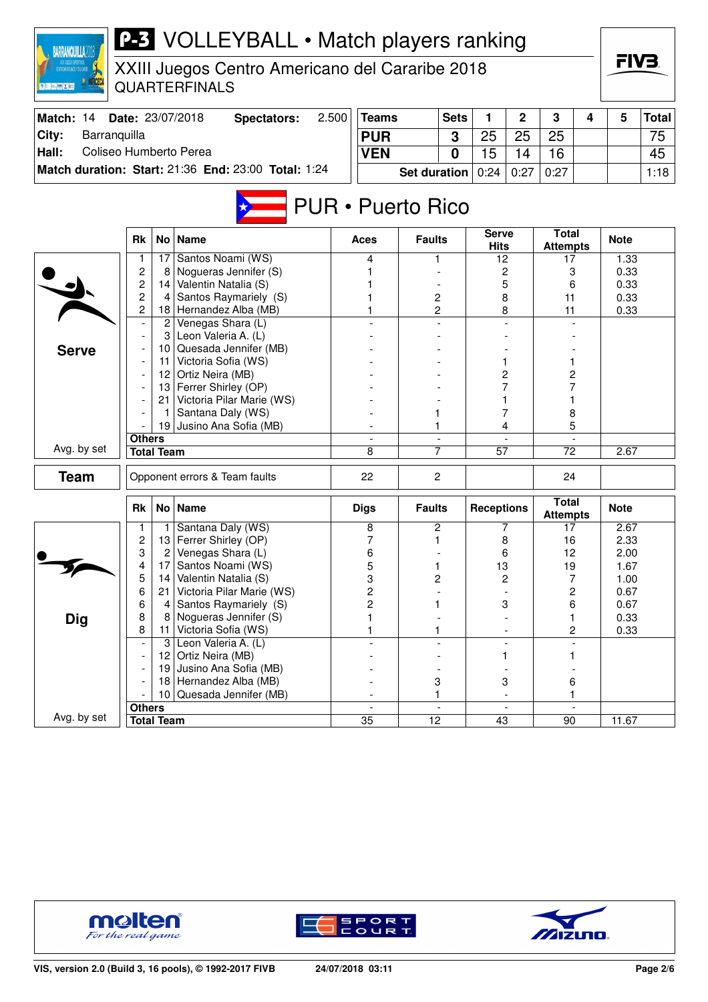| <b>BARRANQUILLA?</b>            |                                  |                   | <b>P-3</b> VOLLEYBALL • Match players ranking                           |       |                                             |                     |                |                             |                          |                                             |   |              |              |
|---------------------------------|----------------------------------|-------------------|-------------------------------------------------------------------------|-------|---------------------------------------------|---------------------|----------------|-----------------------------|--------------------------|---------------------------------------------|---|--------------|--------------|
| <b>B 市上電 X mm</b>               |                                  |                   | XXIII Juegos Centro Americano del Cararibe 2018<br><b>QUARTERFINALS</b> |       |                                             |                     |                |                             |                          |                                             |   | FIV3         |              |
| Match: 14                       |                                  |                   | Date: 23/07/2018<br><b>Spectators:</b>                                  | 2.500 | <b>Teams</b>                                |                     | <b>Sets</b>    | 1                           | 2                        | 3                                           | 4 | 5            | <b>Total</b> |
| Barranquilla<br>City:           |                                  |                   |                                                                         |       | <b>PUR</b>                                  |                     | 3              | 25                          | 25                       | 25                                          |   |              | 75           |
| Coliseo Humberto Perea<br>Hall: |                                  |                   |                                                                         |       | <b>VEN</b>                                  |                     | 0              | 15                          | 14                       | 16                                          |   |              | 45           |
|                                 |                                  |                   | Match duration: Start: 21:36 End: 23:00 Total: 1:24                     |       |                                             | <b>Set duration</b> |                | 0:24                        | 0:27                     | 0:27                                        |   |              | 1:18         |
|                                 |                                  |                   |                                                                         |       |                                             |                     |                |                             |                          |                                             |   |              |              |
|                                 |                                  |                   |                                                                         |       | <b>PUR • Puerto Rico</b>                    |                     |                |                             |                          |                                             |   |              |              |
|                                 | <b>Rk</b>                        |                   | No   Name                                                               |       | Aces                                        | <b>Faults</b>       |                | <b>Serve</b><br><b>Hits</b> |                          | <b>Total</b><br><b>Attempts</b>             |   | <b>Note</b>  |              |
|                                 | 1                                | 17                | Santos Noami (WS)                                                       |       | 4                                           |                     |                | 12                          |                          | 17                                          |   | 1.33         |              |
|                                 | $\overline{c}$                   | 8                 | Nogueras Jennifer (S)<br>Valentin Natalia (S)                           |       |                                             |                     |                | 2                           |                          | 3                                           |   | 0.33         |              |
|                                 | $\overline{c}$<br>$\overline{c}$ | 14<br>4           | Santos Raymariely (S)                                                   |       |                                             | 2                   |                | 5<br>8                      |                          | 6<br>11                                     |   | 0.33<br>0.33 |              |
|                                 | $\overline{c}$                   |                   | 18 Hernandez Alba (MB)                                                  |       |                                             | 2                   |                |                             | 8                        | 11                                          |   | 0.33         |              |
|                                 |                                  |                   | 2 Venegas Shara (L)                                                     |       |                                             |                     |                |                             |                          |                                             |   |              |              |
|                                 |                                  | 3                 | Leon Valeria A. (L)                                                     |       |                                             |                     |                |                             |                          |                                             |   |              |              |
| <b>Serve</b>                    |                                  |                   | 10 Quesada Jennifer (MB)                                                |       |                                             |                     |                |                             |                          |                                             |   |              |              |
|                                 |                                  |                   | 11 Victoria Sofia (WS)                                                  |       |                                             |                     |                |                             |                          |                                             |   |              |              |
|                                 |                                  |                   | 12 Ortiz Neira (MB)                                                     |       |                                             |                     |                |                             | 2                        | 2                                           |   |              |              |
|                                 |                                  |                   | 13 Ferrer Shirley (OP)                                                  |       |                                             |                     |                |                             |                          | 7                                           |   |              |              |
|                                 |                                  | 21                | Victoria Pilar Marie (WS)<br>Santana Daly (WS)                          |       |                                             |                     |                |                             |                          |                                             |   |              |              |
|                                 |                                  |                   | 19 Jusino Ana Sofia (MB)                                                |       |                                             |                     |                |                             | 4                        | 8<br>5                                      |   |              |              |
|                                 | <b>Others</b>                    |                   |                                                                         |       |                                             |                     |                |                             |                          |                                             |   |              |              |
| Avg. by set                     |                                  | <b>Total Team</b> |                                                                         |       | 8                                           | $\overline{7}$      |                | $\overline{57}$             |                          | $\overline{72}$                             |   | 2.67         |              |
| <b>Team</b>                     |                                  |                   | Opponent errors & Team faults                                           |       | 22                                          | $\overline{2}$      |                |                             |                          | 24                                          |   |              |              |
|                                 | <b>Rk</b>                        |                   | No   Name                                                               |       | <b>Digs</b>                                 | <b>Faults</b>       |                | <b>Receptions</b>           |                          | <b>Total</b><br><b>Attempts</b>             |   | <b>Note</b>  |              |
|                                 | 1                                |                   | Santana Daly (WS)                                                       |       | 8                                           | 2                   |                |                             | 7                        | 17                                          |   | 2.67         |              |
|                                 | $\overline{c}$                   |                   | 13 Ferrer Shirley (OP)                                                  |       | 7                                           | 1                   |                | 8                           |                          | 16                                          |   | 2.33         |              |
|                                 | 3                                | 2                 | Venegas Shara (L)                                                       |       | 6                                           |                     |                | 6                           |                          | 12                                          |   | 2.00         |              |
|                                 | 4                                | 17                | Santos Noami (WS)                                                       |       | 5                                           | 1                   |                | 13                          |                          | 19                                          |   | 1.67         |              |
|                                 | 5<br>6                           | 14<br>21          | Valentin Natalia (S)<br>Victoria Pilar Marie (WS)                       |       | 3<br>2                                      | $\overline{c}$      |                |                             | 2                        | $\overline{7}$<br>$\overline{\mathbf{c}}$   |   | 1.00<br>0.67 |              |
|                                 | 6                                | 4                 | Santos Raymariely (S)                                                   |       | $\overline{c}$                              | 1                   |                |                             | 3                        | 6                                           |   | 0.67         |              |
| <b>Dig</b>                      | 8                                | 8                 | Nogueras Jennifer (S)                                                   |       | 1                                           |                     |                |                             |                          | 1                                           |   | 0.33         |              |
|                                 | 8                                | 11                | Victoria Sofia (WS)                                                     |       | 1                                           | 1                   |                |                             |                          | 2                                           |   | 0.33         |              |
|                                 |                                  | $\mathbf{3}$      | Leon Valeria A. (L)                                                     |       |                                             |                     |                |                             | $\blacksquare$           |                                             |   |              |              |
|                                 |                                  | 12                | Ortiz Neira (MB)                                                        |       |                                             |                     |                |                             | 1.                       | 1                                           |   |              |              |
|                                 |                                  | 19                | Jusino Ana Sofia (MB)                                                   |       |                                             |                     |                |                             |                          |                                             |   |              |              |
|                                 |                                  | 18                | Hernandez Alba (MB)                                                     |       |                                             | 3                   |                |                             | 3                        | 6                                           |   |              |              |
|                                 |                                  | 10 <sup>1</sup>   | Quesada Jennifer (MB)                                                   |       |                                             | 1                   |                |                             |                          | 1                                           |   |              |              |
| Avg. by set                     | <b>Others</b>                    |                   |                                                                         |       | $\overline{\phantom{a}}$<br>$\overline{35}$ | $\overline{12}$     | $\blacksquare$ | 43                          | $\overline{\phantom{a}}$ | $\overline{\phantom{a}}$<br>$\overline{90}$ |   | 11.67        |              |
|                                 |                                  | <b>Total Team</b> |                                                                         |       |                                             |                     |                |                             |                          |                                             |   |              |              |





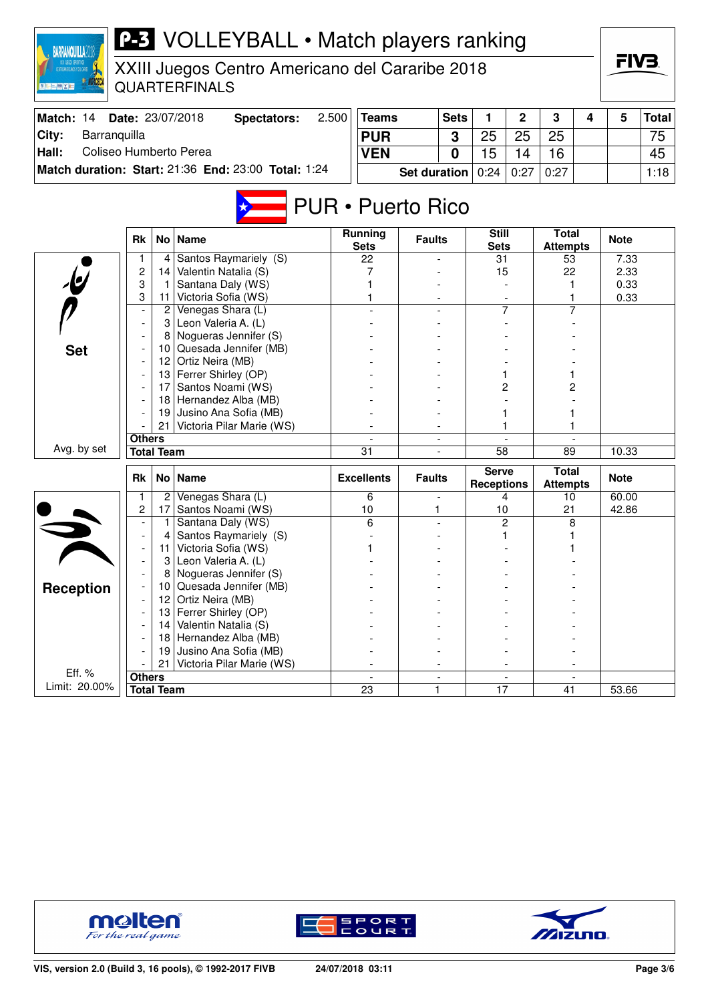| <b>BARRANQUILLA201</b><br><b>夏阳 三 幽 区 西</b> |                   |                 | <b>P-3</b> VOLLEYBALL • Match players ranking<br>XXIII Juegos Centro Americano del Cararibe 2018<br><b>QUARTERFINALS</b> |       |                               |                          |             |                                   |                |                                 |   | FIV3.        |              |
|---------------------------------------------|-------------------|-----------------|--------------------------------------------------------------------------------------------------------------------------|-------|-------------------------------|--------------------------|-------------|-----------------------------------|----------------|---------------------------------|---|--------------|--------------|
| Match: 14                                   |                   |                 | Date: 23/07/2018<br><b>Spectators:</b>                                                                                   | 2.500 | <b>Teams</b>                  |                          | <b>Sets</b> | 1                                 | 2              | 3                               | 4 | 5            | <b>Total</b> |
| City:<br>Barranquilla                       |                   |                 |                                                                                                                          |       | <b>PUR</b>                    |                          | 3           | 25                                | 25             | 25                              |   |              | 75           |
| Coliseo Humberto Perea<br>Hall:             |                   |                 |                                                                                                                          |       | <b>VEN</b>                    |                          | $\bf{0}$    | 15                                | 14             | 16                              |   |              | 45           |
|                                             |                   |                 | Match duration: Start: 21:36 End: 23:00 Total: 1:24                                                                      |       |                               |                          |             | 0:24                              | 0:27           | 0:27                            |   |              | 1:18         |
|                                             |                   |                 |                                                                                                                          |       |                               | <b>Set duration</b>      |             |                                   |                |                                 |   |              |              |
|                                             |                   |                 |                                                                                                                          |       | <b>PUR • Puerto Rico</b>      |                          |             |                                   |                |                                 |   |              |              |
|                                             | <b>Rk</b>         |                 | No   Name                                                                                                                |       | <b>Running</b><br><b>Sets</b> | <b>Faults</b>            |             | <b>Still</b><br><b>Sets</b>       |                | <b>Total</b><br><b>Attempts</b> |   | <b>Note</b>  |              |
|                                             | 1.                | 4               | Santos Raymariely (S)                                                                                                    |       | 22                            |                          |             | 31                                |                | 53                              |   | 7.33         |              |
|                                             | 2<br>3            | 14  <br>-1      | Valentin Natalia (S)<br>Santana Daly (WS)                                                                                |       | 7                             |                          |             | 15                                |                | 22<br>1                         |   | 2.33<br>0.33 |              |
|                                             | 3                 | 11              | Victoria Sofia (WS)                                                                                                      |       |                               |                          |             |                                   |                |                                 |   | 0.33         |              |
|                                             |                   | $\overline{2}$  | Venegas Shara (L)                                                                                                        |       |                               |                          |             |                                   | 7              |                                 |   |              |              |
|                                             |                   | 3               | Leon Valeria A. (L)                                                                                                      |       |                               |                          |             |                                   |                |                                 |   |              |              |
|                                             |                   | 8               | Nogueras Jennifer (S)                                                                                                    |       |                               |                          |             |                                   |                |                                 |   |              |              |
| <b>Set</b>                                  |                   |                 | 10 Quesada Jennifer (MB)                                                                                                 |       |                               |                          |             |                                   |                |                                 |   |              |              |
|                                             |                   | 12 <sub>2</sub> | Ortiz Neira (MB)                                                                                                         |       |                               |                          |             |                                   |                |                                 |   |              |              |
|                                             |                   |                 | 13 Ferrer Shirley (OP)                                                                                                   |       |                               |                          |             |                                   |                |                                 |   |              |              |
|                                             |                   | 17              | Santos Noami (WS)<br>18 Hernandez Alba (MB)                                                                              |       |                               |                          |             |                                   | 2              | 2                               |   |              |              |
|                                             |                   | 19              | Jusino Ana Sofia (MB)                                                                                                    |       |                               |                          |             |                                   |                |                                 |   |              |              |
|                                             |                   | 21              | Victoria Pilar Marie (WS)                                                                                                |       |                               |                          |             |                                   |                |                                 |   |              |              |
|                                             | <b>Others</b>     |                 |                                                                                                                          |       |                               | $\overline{\phantom{0}}$ |             |                                   |                |                                 |   |              |              |
| Avg. by set                                 | <b>Total Team</b> |                 |                                                                                                                          |       | $\overline{31}$               |                          |             | $\overline{58}$                   |                | 89                              |   | 10.33        |              |
|                                             | <b>Rk</b>         |                 | No   Name                                                                                                                |       | <b>Excellents</b>             | <b>Faults</b>            |             | <b>Serve</b><br><b>Receptions</b> |                | <b>Total</b><br><b>Attempts</b> |   | <b>Note</b>  |              |
|                                             | 1                 | 2               | Venegas Shara (L)                                                                                                        |       | 6                             |                          |             |                                   | 4              | 10                              |   | 60.00        |              |
|                                             | $\overline{2}$    |                 | 17 Santos Noami (WS)                                                                                                     |       | 10                            | 1                        |             | 10                                |                | 21                              |   | 42.86        |              |
|                                             |                   | 1.              | Santana Daly (WS)                                                                                                        |       | 6                             |                          |             |                                   | $\overline{c}$ | 8                               |   |              |              |
|                                             |                   |                 | Santos Raymariely (S)                                                                                                    |       |                               |                          |             |                                   |                |                                 |   |              |              |
|                                             |                   | 11              | Victoria Sofia (WS)                                                                                                      |       | 1                             |                          |             |                                   |                |                                 |   |              |              |
|                                             |                   |                 | 3 Leon Valeria A. (L)<br>Nogueras Jennifer (S)                                                                           |       |                               |                          |             |                                   |                |                                 |   |              |              |
|                                             |                   | 8<br>10         | Quesada Jennifer (MB)                                                                                                    |       |                               |                          |             |                                   |                |                                 |   |              |              |
| <b>Reception</b>                            |                   | 12 <sup>2</sup> | Ortiz Neira (MB)                                                                                                         |       |                               |                          |             |                                   |                |                                 |   |              |              |
|                                             |                   | 13              | Ferrer Shirley (OP)                                                                                                      |       |                               |                          |             |                                   |                |                                 |   |              |              |
|                                             |                   | 14              | Valentin Natalia (S)                                                                                                     |       |                               |                          |             |                                   |                |                                 |   |              |              |
|                                             |                   | 18              | Hernandez Alba (MB)                                                                                                      |       |                               |                          |             |                                   |                |                                 |   |              |              |
|                                             |                   | 19              | Jusino Ana Sofia (MB)                                                                                                    |       |                               |                          |             |                                   |                |                                 |   |              |              |
| Eff. %                                      |                   | 21              | Victoria Pilar Marie (WS)                                                                                                |       |                               |                          |             |                                   |                |                                 |   |              |              |
| Limit: 20.00%                               | <b>Others</b>     |                 |                                                                                                                          |       |                               | $\overline{\phantom{0}}$ |             |                                   |                |                                 |   |              |              |
|                                             | <b>Total Team</b> |                 |                                                                                                                          |       | 23                            | 1                        |             | 17                                |                | 41                              |   | 53.66        |              |





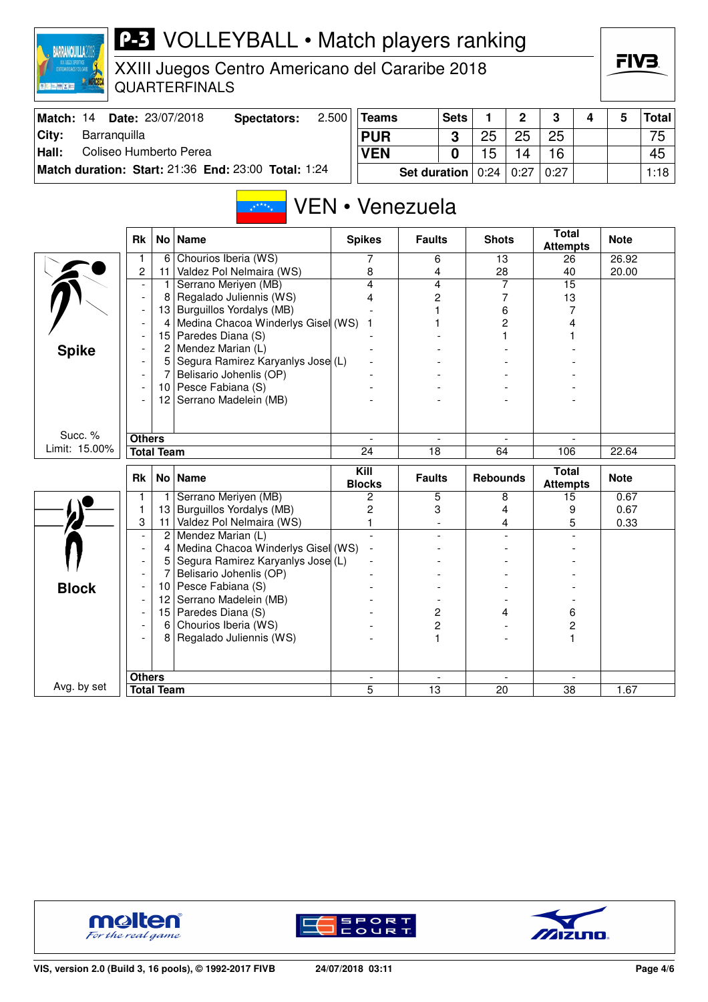| 海行 直接 以前                        |                     |                                  | XXIII Juegos Centro Americano del Cararibe 2018<br><b>QUARTERFINALS</b>                                              |       |                       |                                  |              |                 |                  |                                 |   | FIV3.          |              |
|---------------------------------|---------------------|----------------------------------|----------------------------------------------------------------------------------------------------------------------|-------|-----------------------|----------------------------------|--------------|-----------------|------------------|---------------------------------|---|----------------|--------------|
| Match: 14                       |                     |                                  | Date: 23/07/2018<br><b>Spectators:</b>                                                                               | 2.500 | <b>Teams</b>          |                                  | <b>Sets</b>  | 1               | $\overline{2}$   | 3                               | 4 | 5              | <b>Total</b> |
| City:<br>Barranquilla           |                     |                                  |                                                                                                                      |       | <b>PUR</b>            |                                  | 3            | 25              | 25               | 25                              |   |                | 75           |
| Coliseo Humberto Perea<br>Hall: |                     |                                  |                                                                                                                      |       | <b>VEN</b>            |                                  | $\mathbf{0}$ | 15              | 14               | 16                              |   |                | 45           |
|                                 |                     |                                  | Match duration: Start: 21:36 End: 23:00 Total: 1:24                                                                  |       |                       | <b>Set duration</b>              |              | 0:24            | 0:27             | 0:27                            |   |                | 1:18         |
|                                 | <b>Rk</b>           |                                  | $x^{x^{x^{x}}+x}$<br>No   Name                                                                                       |       | <b>Spikes</b>         | VEN • Venezuela<br><b>Faults</b> |              | <b>Shots</b>    |                  | <b>Total</b><br><b>Attempts</b> |   | <b>Note</b>    |              |
|                                 | 1<br>$\overline{c}$ | 6<br>11                          | Chourios Iberia (WS)<br>Valdez Pol Nelmaira (WS)                                                                     |       | 7<br>8                | 6<br>4                           |              | 13<br>28        |                  | 26<br>40                        |   | 26.92<br>20.00 |              |
|                                 |                     | 1.<br>8<br>4                     | Serrano Meriyen (MB)<br>Regalado Juliennis (WS)<br>13 Burguillos Yordalys (MB)<br>Medina Chacoa Winderlys Gisel (WS) |       | 4<br>4<br>1           | 4<br>2<br>1                      |              |                 | 7<br>7<br>6<br>2 | 15<br>13<br>7<br>4              |   |                |              |
| <b>Spike</b>                    |                     | $\overline{2}$<br>5 <sup>1</sup> | 15 Paredes Diana (S)<br>Mendez Marian (L)<br>Segura Ramirez Karyanlys Jose (L)                                       |       |                       |                                  |              |                 |                  |                                 |   |                |              |
|                                 |                     | 7<br>10  <br>12 <sup>2</sup>     | Belisario Johenlis (OP)<br>Pesce Fabiana (S)<br>Serrano Madelein (MB)                                                |       |                       |                                  |              |                 |                  |                                 |   |                |              |
| Succ. %                         | <b>Others</b>       |                                  |                                                                                                                      |       |                       |                                  |              |                 |                  |                                 |   |                |              |
| Limit: 15.00%                   | <b>Total Team</b>   |                                  |                                                                                                                      |       | 24                    | 18                               |              | 64              |                  | 106                             |   | 22.64          |              |
|                                 | <b>Rk</b>           |                                  | No   Name                                                                                                            |       | Kill<br><b>Blocks</b> | <b>Faults</b>                    |              | <b>Rebounds</b> |                  | <b>Total</b><br><b>Attempts</b> |   | <b>Note</b>    |              |
|                                 | $\mathbf{1}$        | 1                                | Serrano Meriyen (MB)                                                                                                 |       | $\overline{2}$        | 5                                |              |                 | 8                | 15                              |   | 0.67           |              |
|                                 | 1<br>3              | 13<br>11                         | Burguillos Yordalys (MB)<br>Valdez Pol Nelmaira (WS)                                                                 |       | 2<br>1                | 3                                |              |                 | 4<br>4           | 9<br>5                          |   | 0.67<br>0.33   |              |
|                                 |                     | $\overline{2}$                   | Mendez Marian (L)                                                                                                    |       |                       |                                  |              |                 |                  |                                 |   |                |              |
|                                 |                     | 4                                | Medina Chacoa Winderlys Gisel (WS)                                                                                   |       |                       |                                  |              |                 |                  |                                 |   |                |              |
|                                 |                     | 5                                | Segura Ramirez Karyanlys Jose (L)                                                                                    |       |                       |                                  |              |                 |                  |                                 |   |                |              |
|                                 |                     |                                  | Belisario Johenlis (OP)                                                                                              |       |                       |                                  |              |                 |                  |                                 |   |                |              |
| <b>Block</b>                    |                     | 10  <br>12                       | Pesce Fabiana (S)<br>Serrano Madelein (MB)                                                                           |       |                       |                                  |              |                 |                  |                                 |   |                |              |
|                                 |                     |                                  | 15 Paredes Diana (S)                                                                                                 |       |                       | 2                                |              |                 | 4                | 6                               |   |                |              |
|                                 |                     |                                  | 6 Chourios Iberia (WS)<br>Regalado Juliennis (WS)                                                                    |       |                       | 2<br>$\mathbf{1}$                |              |                 |                  | 2<br>1                          |   |                |              |
|                                 | <b>Others</b>       |                                  |                                                                                                                      |       |                       |                                  |              |                 |                  |                                 |   |                |              |
| Avg. by set                     | <b>Total Team</b>   |                                  |                                                                                                                      |       | $\overline{5}$        | $\overline{13}$                  |              | 20              |                  | 38                              |   | 1.67           |              |

**P-3** VOLLEYBALL • Match players ranking



**BARRANQUILLA2018** 





**FIV3**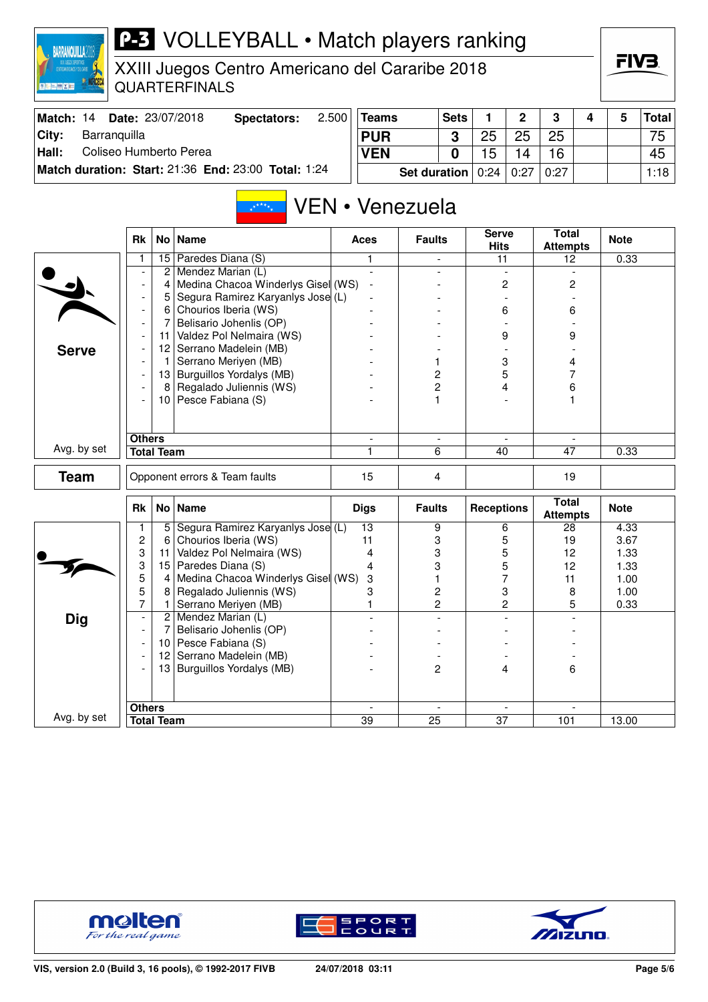

# **P-3** VOLLEYBALL • Match players ranking

XXIII Juegos Centro Americano del Cararibe 2018 QUARTERFINALS

| Match: 14 | <b>Date: 23/07/2018</b>                             | Spectators: | 2.500 | <b>Teams</b>                                   | <b>Sets</b> |    |    | 3  |  | <b>Total</b>    |
|-----------|-----------------------------------------------------|-------------|-------|------------------------------------------------|-------------|----|----|----|--|-----------------|
| City:     | Barranquilla                                        |             |       | <b>PUR</b>                                     |             | つに | 25 | 25 |  | 75 <sub>1</sub> |
| Hall:     | Coliseo Humberto Perea                              |             |       | <b>VEN</b>                                     |             |    | 14 | 16 |  | 45              |
|           | Match duration: Start: 21:36 End: 23:00 Total: 1:24 |             |       | <b>Set duration</b>   $0:24$   $0:27$   $0:27$ |             |    |    |    |  | 1:18            |

#### VEN • Venezuela  $\frac{1}{16}$  \* \* \*  $\frac{1}{16}$

|              | <b>Rk</b>                |                   | No Name                            | <b>Aces</b>    | <b>Faults</b>  | <b>Serve</b><br><b>Hits</b> | <b>Total</b><br><b>Attempts</b> | <b>Note</b> |
|--------------|--------------------------|-------------------|------------------------------------|----------------|----------------|-----------------------------|---------------------------------|-------------|
|              | 1                        | 15                | Paredes Diana (S)                  | 1              | $\equiv$       | 11                          | 12                              | 0.33        |
|              |                          | $\mathbf{2}$      | Mendez Marian (L)                  | $\mathbf{r}$   |                | $\blacksquare$              | $\overline{a}$                  |             |
|              | $\blacksquare$           | 4                 | Medina Chacoa Winderlys Gisel (WS) |                |                | 2                           | $\overline{c}$                  |             |
|              | $\overline{\phantom{a}}$ | 5                 | Segura Ramirez Karyanlys Jose (L)  |                |                |                             |                                 |             |
|              | $\overline{\phantom{a}}$ | 6                 | Chourios Iberia (WS)               |                |                | 6                           | 6                               |             |
|              | $\overline{\phantom{a}}$ | 7                 | Belisario Johenlis (OP)            |                |                |                             |                                 |             |
|              |                          | 11                | Valdez Pol Nelmaira (WS)           |                |                | 9                           | 9                               |             |
| <b>Serve</b> | $\overline{\phantom{a}}$ |                   | 12 Serrano Madelein (MB)           |                |                |                             |                                 |             |
|              | $\overline{\phantom{a}}$ | 1.                | Serrano Meriyen (MB)               |                | 1              | 3                           | 4                               |             |
|              | $\overline{a}$           |                   | 13 Burguillos Yordalys (MB)        |                | $\overline{c}$ | 5                           | 7                               |             |
|              | $\overline{\phantom{a}}$ | 8                 | Regalado Juliennis (WS)            |                | $\overline{c}$ | 4                           | 6                               |             |
|              |                          |                   | 10 Pesce Fabiana (S)               |                | 1              |                             | 1                               |             |
|              |                          |                   |                                    |                |                |                             |                                 |             |
|              |                          |                   |                                    |                |                |                             |                                 |             |
|              | <b>Others</b>            |                   |                                    | $\blacksquare$ | $\blacksquare$ | $\overline{\phantom{a}}$    |                                 |             |
| Avg. by set  |                          | <b>Total Team</b> |                                    |                | 6              | 40                          | 47                              | 0.33        |
| <b>Team</b>  |                          |                   | Opponent errors & Team faults      | 15             | 4              |                             | 19                              |             |
|              |                          |                   |                                    |                |                |                             |                                 |             |
|              | Rk                       |                   | No   Name                          | <b>Digs</b>    | <b>Faults</b>  | <b>Receptions</b>           | <b>Total</b><br><b>Attempts</b> | <b>Note</b> |
|              | 1                        | 5 <sup>1</sup>    | Segura Ramirez Karyanlys Jose (L)  | 13             | 9              | 6                           | 28                              | 4.33        |
|              | $\overline{c}$           | 6                 | Chourios Iberia (WS)               | 11             | 3              | 5                           | 19                              | 3.67        |
|              | 3                        | 11                | Valdez Pol Nelmaira (WS)           | 4              | 3              | 5                           | 12                              | 1.33        |
|              | 3                        | 15                | Paredes Diana (S)                  | 4              | 3              | 5                           | 12                              | 1.33        |
|              | 5                        | $\overline{4}$    | Medina Chacoa Winderlys Gisel (WS) | 3              | 1              | 7                           | 11                              | 1.00        |
|              | 5                        | 8                 | Regalado Juliennis (WS)            | 3              | $\overline{c}$ | 3                           | 8                               | 1.00        |
|              | $\overline{7}$           | $\mathbf{1}$      | Serrano Meriyen (MB)               | $\mathbf{1}$   | $\overline{2}$ | $\overline{c}$              | 5                               | 0.33        |
| <b>Dig</b>   | $\overline{\phantom{a}}$ |                   | 2 Mendez Marian (L)                | $\overline{a}$ |                | $\overline{a}$              |                                 |             |
|              | $\overline{\phantom{a}}$ | $\overline{7}$    | Belisario Johenlis (OP)            |                |                |                             |                                 |             |
|              | $\overline{a}$           |                   | 10 Pesce Fabiana (S)               |                |                |                             |                                 |             |
|              | $\overline{\phantom{a}}$ | 12                | Serrano Madelein (MB)              |                |                |                             |                                 |             |
|              |                          | 13                | Burguillos Yordalys (MB)           |                | $\overline{c}$ | 4                           | 6                               |             |
|              |                          |                   |                                    |                |                |                             |                                 |             |
|              |                          |                   |                                    |                |                |                             |                                 |             |
|              | <b>Others</b>            |                   |                                    | $\mathbf{r}$   |                |                             |                                 |             |
| Avg. by set  |                          | <b>Total Team</b> |                                    | 39             | 25             | 37                          | 101                             | 13.00       |